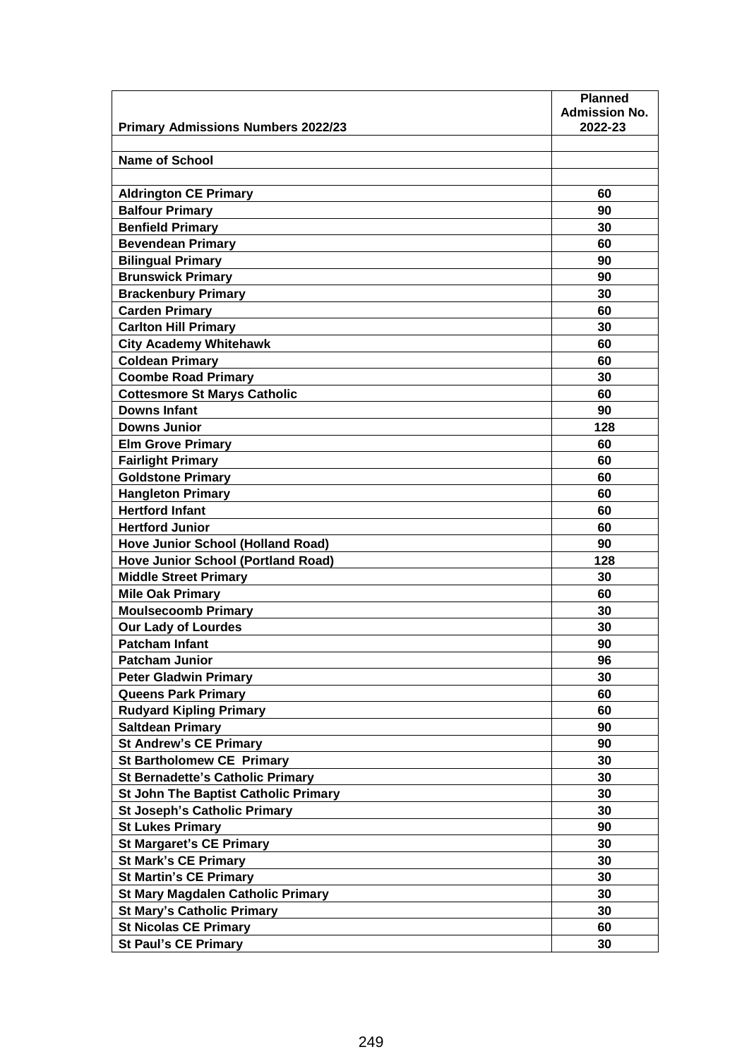|                                                      | <b>Planned</b>                  |
|------------------------------------------------------|---------------------------------|
|                                                      | <b>Admission No.</b><br>2022-23 |
| <b>Primary Admissions Numbers 2022/23</b>            |                                 |
| Name of School                                       |                                 |
|                                                      |                                 |
| <b>Aldrington CE Primary</b>                         | 60                              |
| <b>Balfour Primary</b>                               | 90                              |
| <b>Benfield Primary</b>                              | 30                              |
| <b>Bevendean Primary</b>                             | 60                              |
|                                                      | 90                              |
| <b>Bilingual Primary</b><br><b>Brunswick Primary</b> | 90                              |
| <b>Brackenbury Primary</b>                           | 30                              |
| <b>Carden Primary</b>                                | 60                              |
|                                                      | 30                              |
| <b>Carlton Hill Primary</b>                          |                                 |
| <b>City Academy Whitehawk</b>                        | 60                              |
| <b>Coldean Primary</b>                               | 60<br>30                        |
| <b>Coombe Road Primary</b>                           |                                 |
| <b>Cottesmore St Marys Catholic</b>                  | 60                              |
| <b>Downs Infant</b>                                  | 90                              |
| <b>Downs Junior</b>                                  | 128                             |
| <b>Elm Grove Primary</b>                             | 60                              |
| <b>Fairlight Primary</b>                             | 60                              |
| <b>Goldstone Primary</b>                             | 60                              |
| <b>Hangleton Primary</b>                             | 60                              |
| <b>Hertford Infant</b>                               | 60                              |
| <b>Hertford Junior</b>                               | 60                              |
| <b>Hove Junior School (Holland Road)</b>             | 90                              |
| <b>Hove Junior School (Portland Road)</b>            | 128                             |
| <b>Middle Street Primary</b>                         | 30                              |
| <b>Mile Oak Primary</b>                              | 60                              |
| <b>Moulsecoomb Primary</b>                           | 30                              |
| <b>Our Lady of Lourdes</b>                           | 30                              |
| <b>Patcham Infant</b>                                | 90                              |
| <b>Patcham Junior</b>                                | 96                              |
| <b>Peter Gladwin Primary</b>                         | 30                              |
| <b>Queens Park Primary</b>                           | 60                              |
| <b>Rudyard Kipling Primary</b>                       | 60                              |
| <b>Saltdean Primary</b>                              | 90                              |
| <b>St Andrew's CE Primary</b>                        | 90                              |
| <b>St Bartholomew CE Primary</b>                     | 30                              |
| <b>St Bernadette's Catholic Primary</b>              | 30                              |
| St John The Baptist Catholic Primary                 | 30                              |
| <b>St Joseph's Catholic Primary</b>                  | 30                              |
| <b>St Lukes Primary</b>                              | 90                              |
| <b>St Margaret's CE Primary</b>                      | 30                              |
| <b>St Mark's CE Primary</b>                          | 30                              |
| <b>St Martin's CE Primary</b>                        | 30                              |
| <b>St Mary Magdalen Catholic Primary</b>             | 30                              |
| <b>St Mary's Catholic Primary</b>                    | 30                              |
| <b>St Nicolas CE Primary</b>                         | 60                              |
| <b>St Paul's CE Primary</b>                          | 30                              |